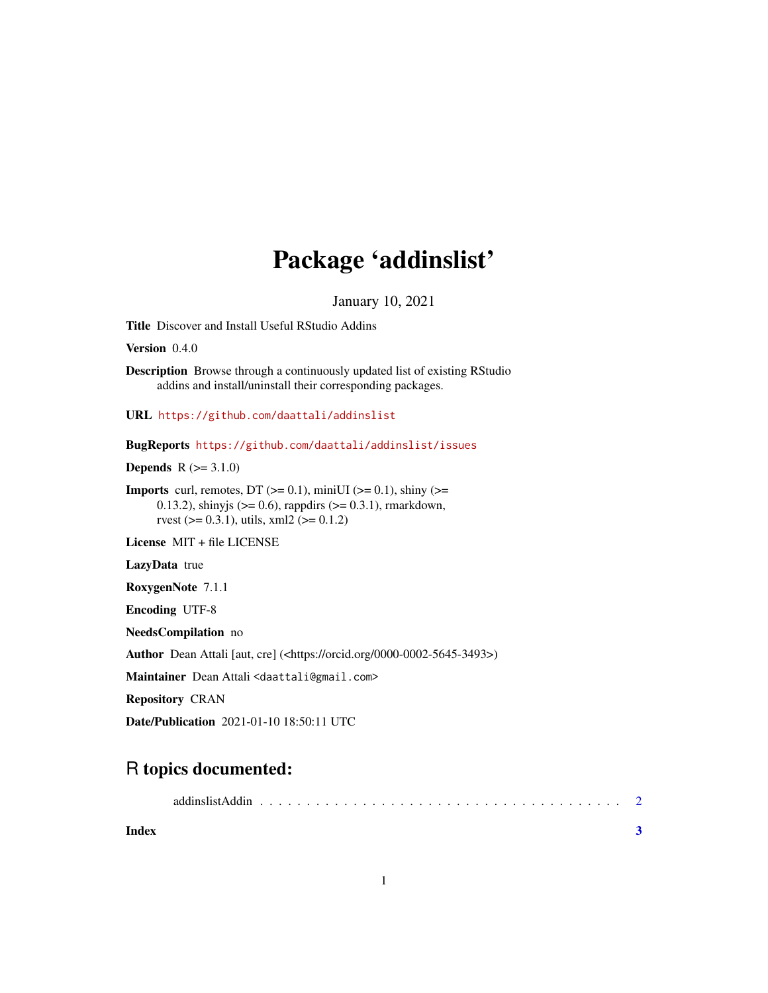## Package 'addinslist'

January 10, 2021

Title Discover and Install Useful RStudio Addins

Version 0.4.0

Description Browse through a continuously updated list of existing RStudio addins and install/uninstall their corresponding packages.

URL <https://github.com/daattali/addinslist>

BugReports <https://github.com/daattali/addinslist/issues>

**Depends**  $R (= 3.1.0)$ 

**Imports** curl, remotes, DT  $(>= 0.1)$ , miniUI  $(>= 0.1)$ , shiny  $(>= 0.1)$ 0.13.2), shinyjs ( $>= 0.6$ ), rappdirs ( $>= 0.3.1$ ), rmarkdown, rvest ( $> = 0.3.1$ ), utils, xml2 ( $> = 0.1.2$ )

License MIT + file LICENSE

LazyData true

RoxygenNote 7.1.1

Encoding UTF-8

NeedsCompilation no

Author Dean Attali [aut, cre] (<https://orcid.org/0000-0002-5645-3493>)

Maintainer Dean Attali <daattali@gmail.com>

Repository CRAN

Date/Publication 2021-01-10 18:50:11 UTC

### R topics documented:

|--|--|

**Index** [3](#page-2-0)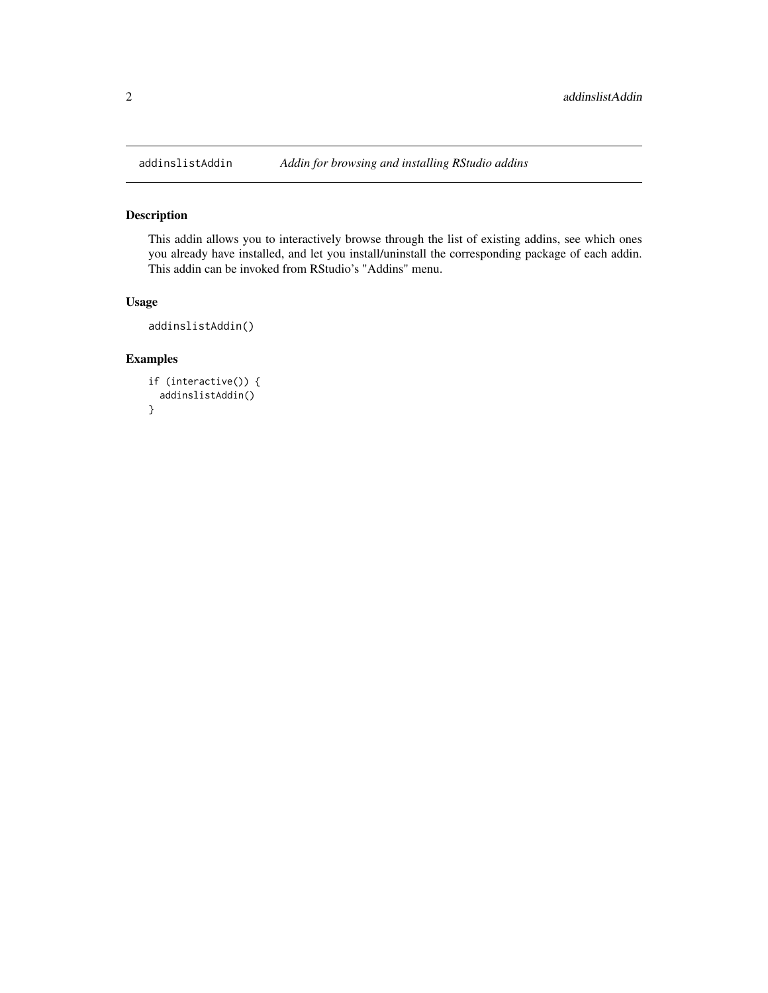<span id="page-1-0"></span>

#### Description

This addin allows you to interactively browse through the list of existing addins, see which ones you already have installed, and let you install/uninstall the corresponding package of each addin. This addin can be invoked from RStudio's "Addins" menu.

#### Usage

```
addinslistAddin()
```
#### Examples

```
if (interactive()) {
 addinslistAddin()
}
```